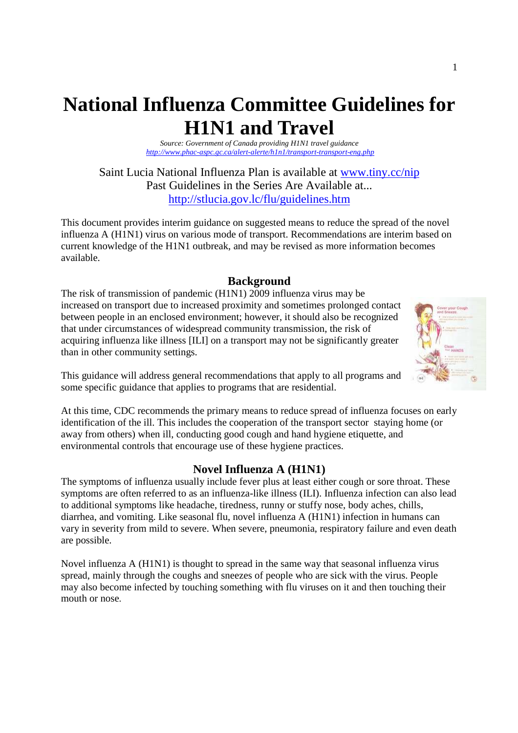# **National Influenza Committee Guidelines for H1N1 and Travel**

*Source: Government of Canada providing H1N1 travel guidance http://www.phac-aspc.gc.ca/alert-alerte/h1n1/transport-transport-eng.php* 

Saint Lucia National Influenza Plan is available at www.tiny.cc/nip Past Guidelines in the Series Are Available at... http://stlucia.gov.lc/flu/guidelines.htm

This document provides interim guidance on suggested means to reduce the spread of the novel influenza A (H1N1) virus on various mode of transport. Recommendations are interim based on current knowledge of the H1N1 outbreak, and may be revised as more information becomes available.

## **Background**

The risk of transmission of pandemic (H1N1) 2009 influenza virus may be increased on transport due to increased proximity and sometimes prolonged contact between people in an enclosed environment; however, it should also be recognized that under circumstances of widespread community transmission, the risk of acquiring influenza like illness [ILI] on a transport may not be significantly greater than in other community settings.



This guidance will address general recommendations that apply to all programs and some specific guidance that applies to programs that are residential.

At this time, CDC recommends the primary means to reduce spread of influenza focuses on early identification of the ill. This includes the cooperation of the transport sector staying home (or away from others) when ill, conducting good cough and hand hygiene etiquette, and environmental controls that encourage use of these hygiene practices.

## **Novel Influenza A (H1N1)**

The symptoms of influenza usually include fever plus at least either cough or sore throat. These symptoms are often referred to as an influenza-like illness (ILI). Influenza infection can also lead to additional symptoms like headache, tiredness, runny or stuffy nose, body aches, chills, diarrhea, and vomiting. Like seasonal flu, novel influenza A (H1N1) infection in humans can vary in severity from mild to severe. When severe, pneumonia, respiratory failure and even death are possible.

Novel influenza A (H1N1) is thought to spread in the same way that seasonal influenza virus spread, mainly through the coughs and sneezes of people who are sick with the virus. People may also become infected by touching something with flu viruses on it and then touching their mouth or nose.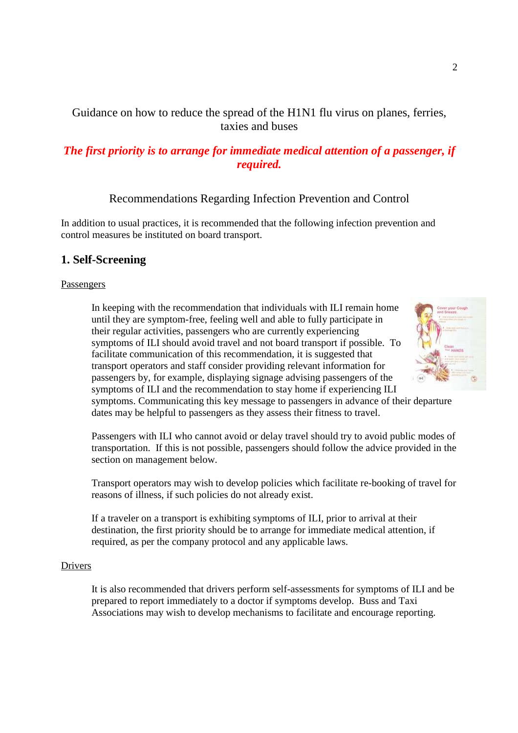Guidance on how to reduce the spread of the H1N1 flu virus on planes, ferries, taxies and buses

## *The first priority is to arrange for immediate medical attention of a passenger, if required.*

## Recommendations Regarding Infection Prevention and Control

In addition to usual practices, it is recommended that the following infection prevention and control measures be instituted on board transport.

## **1. Self-Screening**

#### Passengers

In keeping with the recommendation that individuals with ILI remain home until they are symptom-free, feeling well and able to fully participate in their regular activities, passengers who are currently experiencing symptoms of ILI should avoid travel and not board transport if possible. To facilitate communication of this recommendation, it is suggested that transport operators and staff consider providing relevant information for passengers by, for example, displaying signage advising passengers of the symptoms of ILI and the recommendation to stay home if experiencing ILI



symptoms. Communicating this key message to passengers in advance of their departure dates may be helpful to passengers as they assess their fitness to travel.

Passengers with ILI who cannot avoid or delay travel should try to avoid public modes of transportation. If this is not possible, passengers should follow the advice provided in the section on management below.

Transport operators may wish to develop policies which facilitate re-booking of travel for reasons of illness, if such policies do not already exist.

If a traveler on a transport is exhibiting symptoms of ILI, prior to arrival at their destination, the first priority should be to arrange for immediate medical attention, if required, as per the company protocol and any applicable laws.

#### Drivers

It is also recommended that drivers perform self-assessments for symptoms of ILI and be prepared to report immediately to a doctor if symptoms develop. Buss and Taxi Associations may wish to develop mechanisms to facilitate and encourage reporting.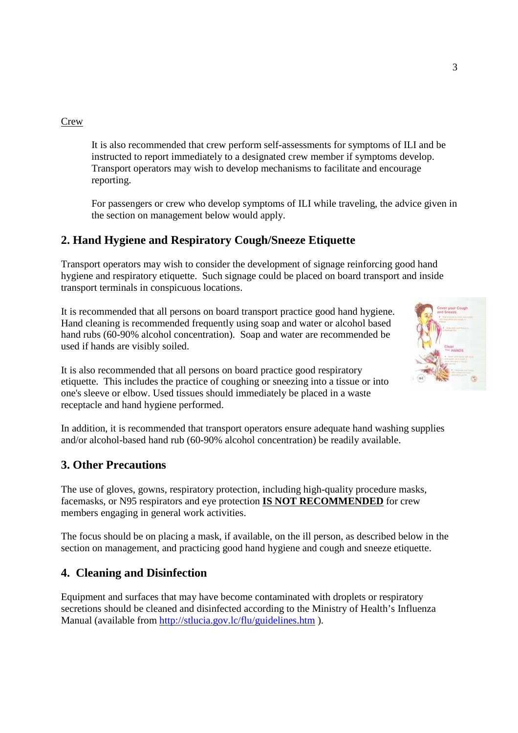#### Crew

It is also recommended that crew perform self-assessments for symptoms of ILI and be instructed to report immediately to a designated crew member if symptoms develop. Transport operators may wish to develop mechanisms to facilitate and encourage reporting.

For passengers or crew who develop symptoms of ILI while traveling, the advice given in the section on management below would apply.

# **2. Hand Hygiene and Respiratory Cough/Sneeze Etiquette**

Transport operators may wish to consider the development of signage reinforcing good hand hygiene and respiratory etiquette. Such signage could be placed on board transport and inside transport terminals in conspicuous locations.

It is recommended that all persons on board transport practice good hand hygiene. Hand cleaning is recommended frequently using soap and water or alcohol based hand rubs (60-90% alcohol concentration). Soap and water are recommended be used if hands are visibly soiled.



It is also recommended that all persons on board practice good respiratory etiquette. This includes the practice of coughing or sneezing into a tissue or into one's sleeve or elbow. Used tissues should immediately be placed in a waste receptacle and hand hygiene performed.

In addition, it is recommended that transport operators ensure adequate hand washing supplies and/or alcohol-based hand rub (60-90% alcohol concentration) be readily available.

### **3. Other Precautions**

The use of gloves, gowns, respiratory protection, including high-quality procedure masks, facemasks, or N95 respirators and eye protection **IS NOT RECOMMENDED** for crew members engaging in general work activities.

The focus should be on placing a mask, if available, on the ill person, as described below in the section on management, and practicing good hand hygiene and cough and sneeze etiquette.

## **4. Cleaning and Disinfection**

Equipment and surfaces that may have become contaminated with droplets or respiratory secretions should be cleaned and disinfected according to the Ministry of Health's Influenza Manual (available from http://stlucia.gov.lc/flu/guidelines.htm ).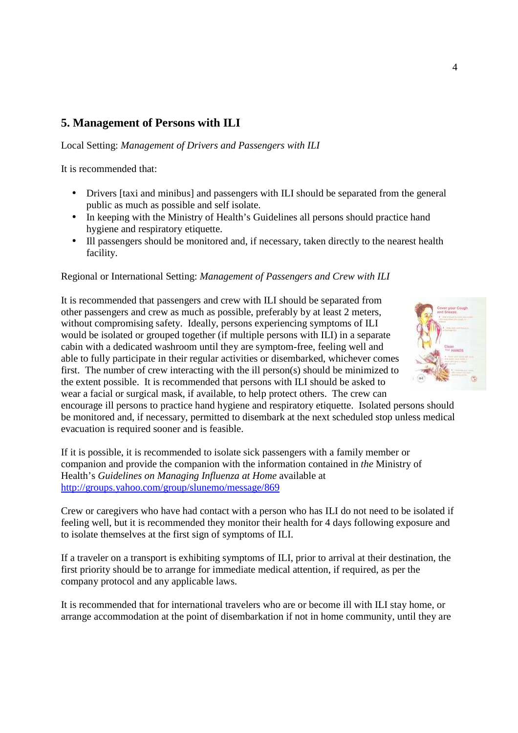# **5. Management of Persons with ILI**

Local Setting: *Management of Drivers and Passengers with ILI*

It is recommended that:

- Drivers [taxi and minibus] and passengers with ILI should be separated from the general public as much as possible and self isolate.
- In keeping with the Ministry of Health's Guidelines all persons should practice hand hygiene and respiratory etiquette.
- Ill passengers should be monitored and, if necessary, taken directly to the nearest health facility.

#### Regional or International Setting: *Management of Passengers and Crew with ILI*

It is recommended that passengers and crew with ILI should be separated from other passengers and crew as much as possible, preferably by at least 2 meters, without compromising safety. Ideally, persons experiencing symptoms of ILI would be isolated or grouped together (if multiple persons with ILI) in a separate cabin with a dedicated washroom until they are symptom-free, feeling well and able to fully participate in their regular activities or disembarked, whichever comes first. The number of crew interacting with the ill person(s) should be minimized to the extent possible. It is recommended that persons with ILI should be asked to wear a facial or surgical mask, if available, to help protect others. The crew can



encourage ill persons to practice hand hygiene and respiratory etiquette. Isolated persons should be monitored and, if necessary, permitted to disembark at the next scheduled stop unless medical evacuation is required sooner and is feasible.

If it is possible, it is recommended to isolate sick passengers with a family member or companion and provide the companion with the information contained in *the* Ministry of Health's *Guidelines on Managing Influenza at Home* available at http://groups.yahoo.com/group/slunemo/message/869

Crew or caregivers who have had contact with a person who has ILI do not need to be isolated if feeling well, but it is recommended they monitor their health for 4 days following exposure and to isolate themselves at the first sign of symptoms of ILI.

If a traveler on a transport is exhibiting symptoms of ILI, prior to arrival at their destination, the first priority should be to arrange for immediate medical attention, if required, as per the company protocol and any applicable laws.

It is recommended that for international travelers who are or become ill with ILI stay home, or arrange accommodation at the point of disembarkation if not in home community, until they are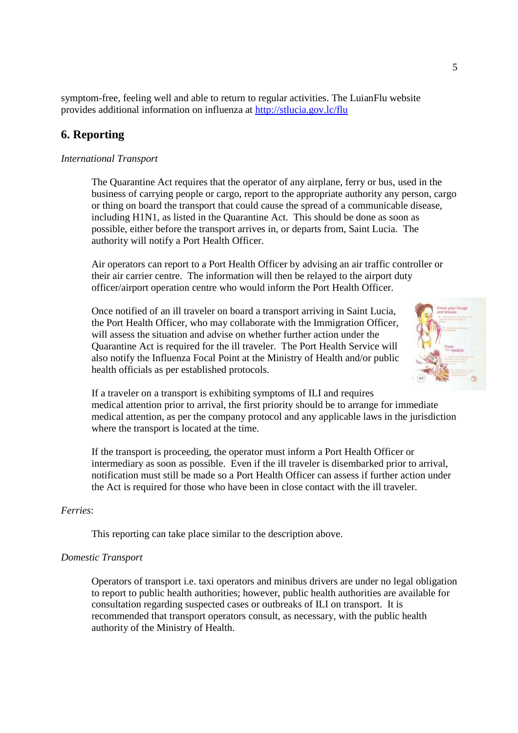symptom-free, feeling well and able to return to regular activities. The LuianFlu website provides additional information on influenza at http://stlucia.gov.lc/flu

## **6. Reporting**

#### *International Transport*

The Quarantine Act requires that the operator of any airplane, ferry or bus, used in the business of carrying people or cargo, report to the appropriate authority any person, cargo or thing on board the transport that could cause the spread of a communicable disease, including H1N1, as listed in the Quarantine Act. This should be done as soon as possible, either before the transport arrives in, or departs from, Saint Lucia. The authority will notify a Port Health Officer.

Air operators can report to a Port Health Officer by advising an air traffic controller or their air carrier centre. The information will then be relayed to the airport duty officer/airport operation centre who would inform the Port Health Officer.

Once notified of an ill traveler on board a transport arriving in Saint Lucia, the Port Health Officer, who may collaborate with the Immigration Officer, will assess the situation and advise on whether further action under the Quarantine Act is required for the ill traveler. The Port Health Service will also notify the Influenza Focal Point at the Ministry of Health and/or public health officials as per established protocols.



If a traveler on a transport is exhibiting symptoms of ILI and requires medical attention prior to arrival, the first priority should be to arrange for immediate medical attention, as per the company protocol and any applicable laws in the jurisdiction where the transport is located at the time.

If the transport is proceeding, the operator must inform a Port Health Officer or intermediary as soon as possible. Even if the ill traveler is disembarked prior to arrival, notification must still be made so a Port Health Officer can assess if further action under the Act is required for those who have been in close contact with the ill traveler.

#### *Ferries*:

This reporting can take place similar to the description above.

#### *Domestic Transport*

Operators of transport i.e. taxi operators and minibus drivers are under no legal obligation to report to public health authorities; however, public health authorities are available for consultation regarding suspected cases or outbreaks of ILI on transport. It is recommended that transport operators consult, as necessary, with the public health authority of the Ministry of Health.